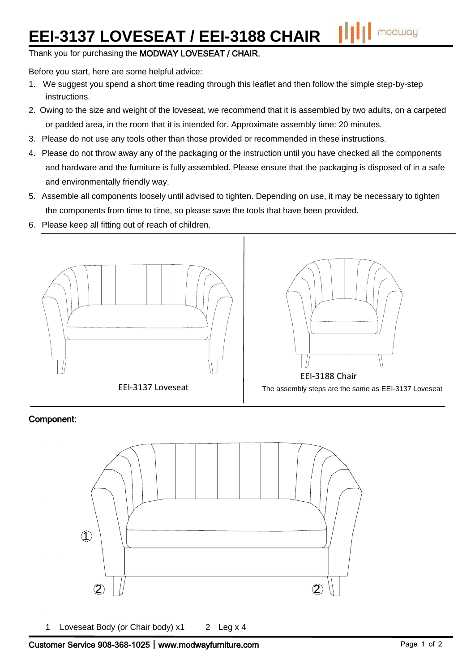## **EEI-3137 LOVESEAT / EEI-3188 CHAIR**

Thank you for purchasing the MODWAY LOVESEAT / CHAIR.

Before you start, here are some helpful advice:

- 1. We suggest you spend a short time reading through this leaflet and then follow the simple step-by-step instructions.
- 2. Owing to the size and weight of the loveseat, we recommend that it is assembled by two adults, on a carpeted or padded area, in the room that it is intended for. Approximate assembly time: 20 minutes.
- 3. Please do not use any tools other than those provided or recommended in these instructions.
- 4. Please do not throw away any of the packaging or the instruction until you have checked all the components and hardware and the furniture is fully assembled. Please ensure that the packaging is disposed of in a safe and environmentally friendly way.
- 5. Assemble all components loosely until advised to tighten. Depending on use, it may be necessary to tighten the components from time to time, so please save the tools that have been provided.
- 6. Please keep all fitting out of reach of children.





## Component:



1 Loveseat Body (or Chair body) x1 2 Leg x 4